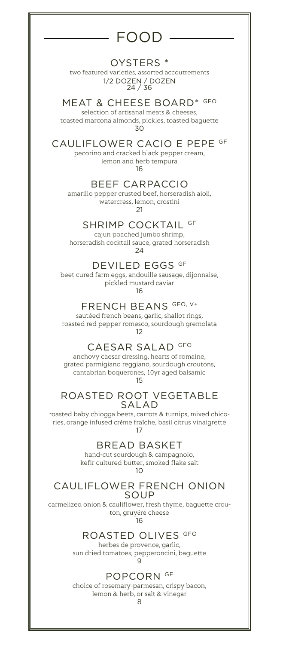# FOOD

### OYSTERS \*

two featured varieties, assorted accoutrements 1/2 DOZEN / DOZEN 24 / 36

## MEAT & CHEESE BOARD\* GFO

selection of artisanal meats & cheeses, toasted marcona almonds, pickles, toasted baguette 30

## CAULIFLOWER CACIO E PEPE GF

pecorino and cracked black pepper cream, lemon and herb tempura

16

## BEEF CARPACCIO

amarillo pepper crusted beef, horseradish aioli, watercress, lemon, crostini  $21$ 

SHRIMP COCKTAIL GF

cajun poached jumbo shrimp, horseradish cocktail sauce, grated horseradish 24

DEVILED EGGS GF

beet cured farm eggs, andouille sausage, dijonnaise, pickled mustard caviar

16

### FRENCH BEANS GFO, V+

sautéed french beans, garlic, shallot rings, roasted red pepper romesco, sourdough gremolata 12

CAESAR SALAD GFO

anchovy caesar dressing, hearts of romaine, grated parmigiano reggiano, sourdough croutons, cantabrian boquerones, 10yr aged balsamic 15

### ROASTED ROOT VEGETABLE SALAD

roasted baby chiogga beets, carrots & turnips, mixed chicories, orange infused créme fraîche, basil citrus vinaigrette 17

BREAD BASKET

hand-cut sourdough & campagnolo, kefir cultured butter, smoked flake salt  $1<sub>O</sub>$ 

#### CAULIFLOWER FRENCH ONION SOUP

carmelized onion & cauliflower, fresh thyme, baguette crouton, gruyére cheese

16

### ROASTED OLIVES GFO

herbes de provence, garlic, sun dried tomatoes, pepperoncini, baguette  $\alpha$ 

## POPCORN GF

choice of rosemary-parmesan, crispy bacon, lemon & herb, or salt & vinegar